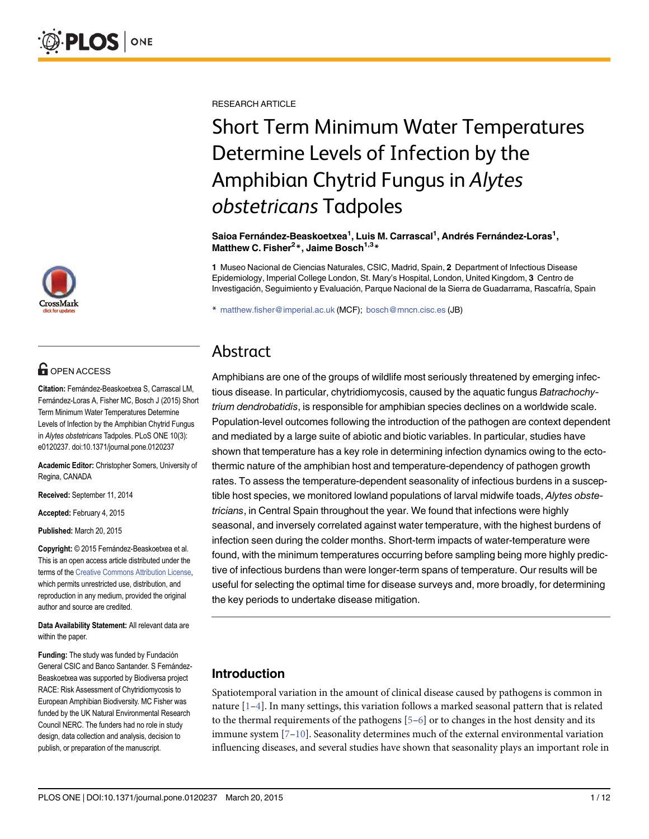## **OPEN ACCESS**

Citation: Fernández-Beaskoetxea S, Carrascal LM, Fernández-Loras A, Fisher MC, Bosch J (2015) Short Term Minimum Water Temperatures Determine Levels of Infection by the Amphibian Chytrid Fungus in Alytes obstetricans Tadpoles. PLoS ONE 10(3): e0120237. doi:10.1371/journal.pone.0120237

Academic Editor: Christopher Somers, University of Regina, CANADA

Received: September 11, 2014

Accepted: February 4, 2015

Published: March 20, 2015

Copyright: © 2015 Fernández-Beaskoetxea et al. This is an open access article distributed under the terms of the [Creative Commons Attribution License](http://creativecommons.org/licenses/by/4.0/), which permits unrestricted use, distribution, and reproduction in any medium, provided the original author and source are credited.

Data Availability Statement: All relevant data are within the paper.

Funding: The study was funded by Fundación General CSIC and Banco Santander. S Fernández-Beaskoetxea was supported by Biodiversa project RACE: Risk Assessment of Chytridiomycosis to European Amphibian Biodiversity. MC Fisher was funded by the UK Natural Environmental Research Council NERC. The funders had no role in study design, data collection and analysis, decision to publish, or preparation of the manuscript.

<span id="page-0-0"></span>RESEARCH ARTICLE

# Short Term Minimum Water Temperatures Determine Levels of Infection by the Amphibian Chytrid Fungus in Alytes obstetricans Tadpoles

Saioa Fernández-Beaskoetxea<sup>1</sup>, Luis M. Carrascal<sup>1</sup>, Andrés Fernández-Loras<sup>1</sup>, Matthew C. Fisher<sup>2\*</sup>, Jaime Bosch<sup>1,3\*</sup>

1 Museo Nacional de Ciencias Naturales, CSIC, Madrid, Spain, 2 Department of Infectious Disease Epidemiology, Imperial College London, St. Mary's Hospital, London, United Kingdom, 3 Centro de Investigación, Seguimiento y Evaluación, Parque Nacional de la Sierra de Guadarrama, Rascafría, Spain

\* matthew.fisher@imperial.ac.uk (MCF); bosch@mncn.cisc.es (JB)

### Abstract

Amphibians are one of the groups of wildlife most seriously threatened by emerging infectious disease. In particular, chytridiomycosis, caused by the aquatic fungus Batrachochytrium dendrobatidis, is responsible for amphibian species declines on a worldwide scale. Population-level outcomes following the introduction of the pathogen are context dependent and mediated by a large suite of abiotic and biotic variables. In particular, studies have shown that temperature has a key role in determining infection dynamics owing to the ectothermic nature of the amphibian host and temperature-dependency of pathogen growth rates. To assess the temperature-dependent seasonality of infectious burdens in a susceptible host species, we monitored lowland populations of larval midwife toads, Alytes obstetricians, in Central Spain throughout the year. We found that infections were highly seasonal, and inversely correlated against water temperature, with the highest burdens of infection seen during the colder months. Short-term impacts of water-temperature were found, with the minimum temperatures occurring before sampling being more highly predictive of infectious burdens than were longer-term spans of temperature. Our results will be useful for selecting the optimal time for disease surveys and, more broadly, for determining the key periods to undertake disease mitigation.

#### Introduction

Spatiotemporal variation in the amount of clinical disease caused by pathogens is common in nature  $[1-4]$  $[1-4]$  $[1-4]$  $[1-4]$ . In many settings, this variation follows a marked seasonal pattern that is related to the thermal requirements of the pathogens  $[5-6]$  $[5-6]$  $[5-6]$  $[5-6]$  $[5-6]$  or to changes in the host density and its immune system  $[7-10]$  $[7-10]$  $[7-10]$  $[7-10]$  $[7-10]$ . Seasonality determines much of the external environmental variation influencing diseases, and several studies have shown that seasonality plays an important role in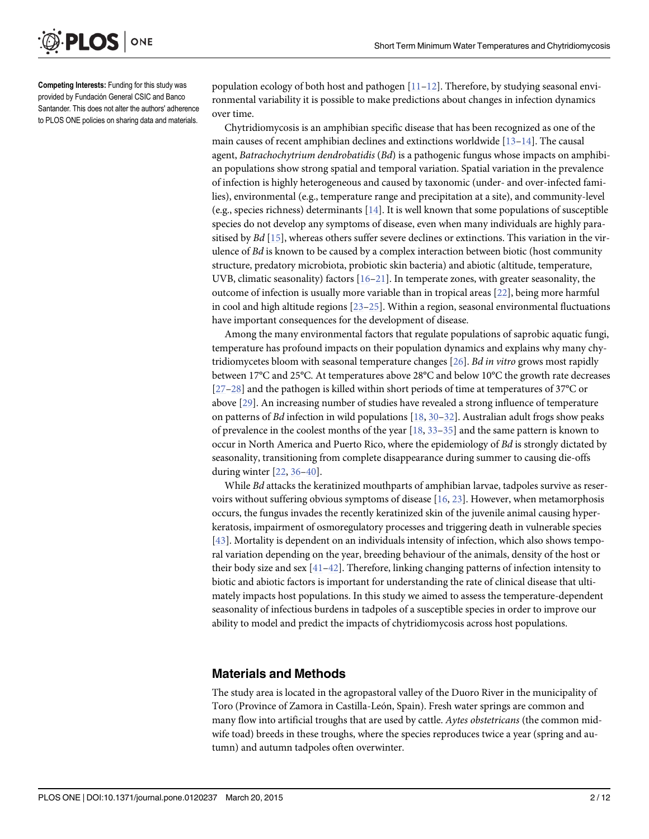<span id="page-1-0"></span>

Competing Interests: Funding for this study was provided by Fundación General CSIC and Banco Santander. This does not alter the authors' adherence to PLOS ONE policies on sharing data and materials.

population ecology of both host and pathogen  $[11-12]$  $[11-12]$  $[11-12]$  $[11-12]$  $[11-12]$ . Therefore, by studying seasonal environmental variability it is possible to make predictions about changes in infection dynamics over time.

Chytridiomycosis is an amphibian specific disease that has been recognized as one of the main causes of recent amphibian declines and extinctions worldwide  $[13-14]$  $[13-14]$  $[13-14]$ . The causal agent, Batrachochytrium dendrobatidis (Bd) is a pathogenic fungus whose impacts on amphibian populations show strong spatial and temporal variation. Spatial variation in the prevalence of infection is highly heterogeneous and caused by taxonomic (under- and over-infected families), environmental (e.g., temperature range and precipitation at a site), and community-level (e.g., species richness) determinants  $[14]$  $[14]$  $[14]$ . It is well known that some populations of susceptible species do not develop any symptoms of disease, even when many individuals are highly parasitised by  $Bd$  [\[15\]](#page-9-0), whereas others suffer severe declines or extinctions. This variation in the virulence of Bd is known to be caused by a complex interaction between biotic (host community structure, predatory microbiota, probiotic skin bacteria) and abiotic (altitude, temperature, UVB, climatic seasonality) factors  $[16-21]$  $[16-21]$  $[16-21]$  $[16-21]$  $[16-21]$ . In temperate zones, with greater seasonality, the outcome of infection is usually more variable than in tropical areas [\[22\]](#page-10-0), being more harmful in cool and high altitude regions  $[23-25]$  $[23-25]$  $[23-25]$ . Within a region, seasonal environmental fluctuations have important consequences for the development of disease.

Among the many environmental factors that regulate populations of saprobic aquatic fungi, temperature has profound impacts on their population dynamics and explains why many chytridiomycetes bloom with seasonal temperature changes [[26](#page-10-0)]. Bd in vitro grows most rapidly between 17°C and 25°C. At temperatures above 28°C and below 10°C the growth rate decreases [\[27](#page-10-0)–[28\]](#page-10-0) and the pathogen is killed within short periods of time at temperatures of 37°C or above [[29](#page-10-0)]. An increasing number of studies have revealed a strong influence of temperature on patterns of Bd infection in wild populations [\[18,](#page-9-0) [30](#page-10-0)–[32\]](#page-10-0). Australian adult frogs show peaks of prevalence in the coolest months of the year  $[18, 33-35]$  $[18, 33-35]$  $[18, 33-35]$  $[18, 33-35]$  $[18, 33-35]$  and the same pattern is known to occur in North America and Puerto Rico, where the epidemiology of Bd is strongly dictated by seasonality, transitioning from complete disappearance during summer to causing die-offs during winter [\[22,](#page-10-0) [36](#page-10-0)–[40](#page-10-0)].

While Bd attacks the keratinized mouthparts of amphibian larvae, tadpoles survive as reservoirs without suffering obvious symptoms of disease [[16](#page-9-0), [23](#page-10-0)]. However, when metamorphosis occurs, the fungus invades the recently keratinized skin of the juvenile animal causing hyperkeratosis, impairment of osmoregulatory processes and triggering death in vulnerable species [\[43](#page-11-0)]. Mortality is dependent on an individuals intensity of infection, which also shows temporal variation depending on the year, breeding behaviour of the animals, density of the host or their body size and sex  $[41-42]$  $[41-42]$  $[41-42]$  $[41-42]$ . Therefore, linking changing patterns of infection intensity to biotic and abiotic factors is important for understanding the rate of clinical disease that ultimately impacts host populations. In this study we aimed to assess the temperature-dependent seasonality of infectious burdens in tadpoles of a susceptible species in order to improve our ability to model and predict the impacts of chytridiomycosis across host populations.

#### Materials and Methods

The study area is located in the agropastoral valley of the Duoro River in the municipality of Toro (Province of Zamora in Castilla-León, Spain). Fresh water springs are common and many flow into artificial troughs that are used by cattle. Aytes obstetricans (the common midwife toad) breeds in these troughs, where the species reproduces twice a year (spring and autumn) and autumn tadpoles often overwinter.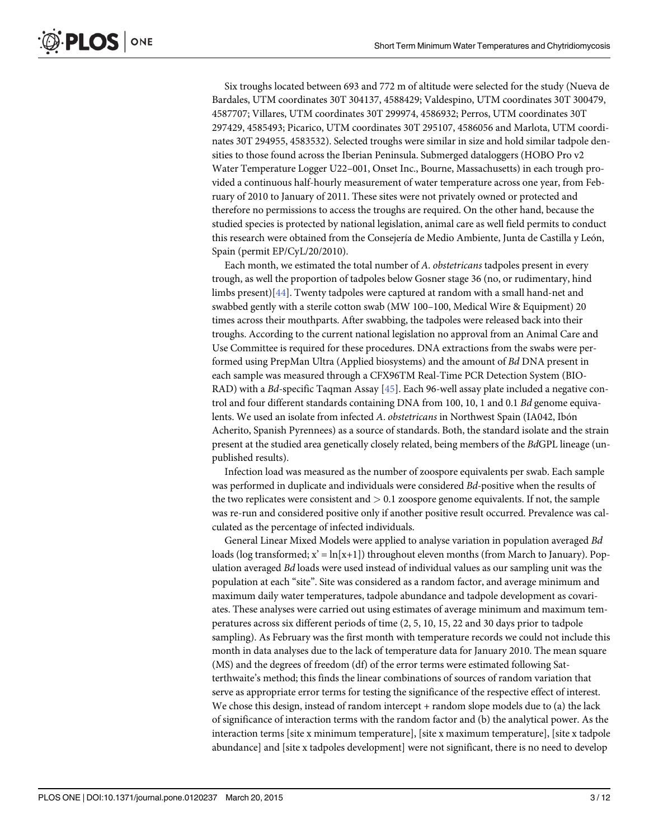<span id="page-2-0"></span>**PLOS I** ONE

> Six troughs located between 693 and 772 m of altitude were selected for the study (Nueva de Bardales, UTM coordinates 30T 304137, 4588429; Valdespino, UTM coordinates 30T 300479, 4587707; Villares, UTM coordinates 30T 299974, 4586932; Perros, UTM coordinates 30T 297429, 4585493; Picarico, UTM coordinates 30T 295107, 4586056 and Marlota, UTM coordinates 30T 294955, 4583532). Selected troughs were similar in size and hold similar tadpole densities to those found across the Iberian Peninsula. Submerged dataloggers (HOBO Pro v2 Water Temperature Logger U22–001, Onset Inc., Bourne, Massachusetts) in each trough provided a continuous half-hourly measurement of water temperature across one year, from February of 2010 to January of 2011. These sites were not privately owned or protected and therefore no permissions to access the troughs are required. On the other hand, because the studied species is protected by national legislation, animal care as well field permits to conduct this research were obtained from the Consejería de Medio Ambiente, Junta de Castilla y León, Spain (permit EP/CyL/20/2010).

> Each month, we estimated the total number of A. obstetricans tadpoles present in every trough, as well the proportion of tadpoles below Gosner stage 36 (no, or rudimentary, hind limbs present)[\[44\]](#page-11-0). Twenty tadpoles were captured at random with a small hand-net and swabbed gently with a sterile cotton swab (MW 100–100, Medical Wire & Equipment) 20 times across their mouthparts. After swabbing, the tadpoles were released back into their troughs. According to the current national legislation no approval from an Animal Care and Use Committee is required for these procedures. DNA extractions from the swabs were performed using PrepMan Ultra (Applied biosystems) and the amount of Bd DNA present in each sample was measured through a CFX96TM Real-Time PCR Detection System (BIO-RAD) with a Bd-specific Taqman Assay  $[45]$ . Each 96-well assay plate included a negative control and four different standards containing DNA from 100, 10, 1 and 0.1 Bd genome equivalents. We used an isolate from infected A. obstetricans in Northwest Spain (IA042, Ibón Acherito, Spanish Pyrennees) as a source of standards. Both, the standard isolate and the strain present at the studied area genetically closely related, being members of the BdGPL lineage (unpublished results).

> Infection load was measured as the number of zoospore equivalents per swab. Each sample was performed in duplicate and individuals were considered Bd-positive when the results of the two replicates were consistent and  $> 0.1$  zoospore genome equivalents. If not, the sample was re-run and considered positive only if another positive result occurred. Prevalence was calculated as the percentage of infected individuals.

> General Linear Mixed Models were applied to analyse variation in population averaged Bd loads (log transformed;  $x' = ln[x+1]$ ) throughout eleven months (from March to January). Population averaged Bd loads were used instead of individual values as our sampling unit was the population at each "site". Site was considered as a random factor, and average minimum and maximum daily water temperatures, tadpole abundance and tadpole development as covariates. These analyses were carried out using estimates of average minimum and maximum temperatures across six different periods of time (2, 5, 10, 15, 22 and 30 days prior to tadpole sampling). As February was the first month with temperature records we could not include this month in data analyses due to the lack of temperature data for January 2010. The mean square (MS) and the degrees of freedom (df) of the error terms were estimated following Satterthwaite's method; this finds the linear combinations of sources of random variation that serve as appropriate error terms for testing the significance of the respective effect of interest. We chose this design, instead of random intercept + random slope models due to (a) the lack of significance of interaction terms with the random factor and (b) the analytical power. As the interaction terms [site x minimum temperature], [site x maximum temperature], [site x tadpole abundance] and [site x tadpoles development] were not significant, there is no need to develop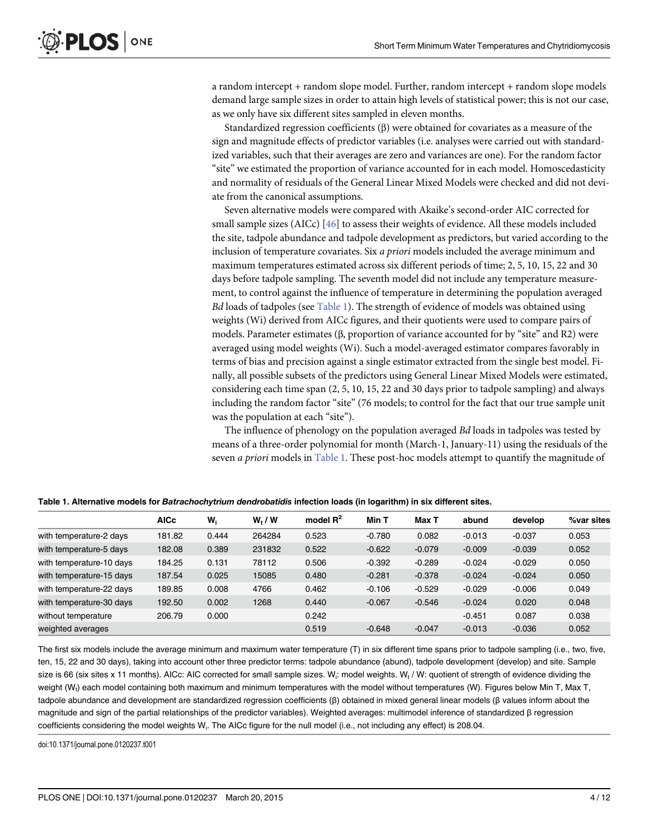<span id="page-3-0"></span>a random intercept + random slope model. Further, random intercept + random slope models demand large sample sizes in order to attain high levels of statistical power; this is not our case, as we only have six different sites sampled in eleven months.

Standardized regression coefficients (β) were obtained for covariates as a measure of the sign and magnitude effects of predictor variables (i.e. analyses were carried out with standardized variables, such that their averages are zero and variances are one). For the random factor "site" we estimated the proportion of variance accounted for in each model. Homoscedasticity and normality of residuals of the General Linear Mixed Models were checked and did not deviate from the canonical assumptions.

Seven alternative models were compared with Akaike's second-order AIC corrected for small sample sizes (AICc) [[46](#page-11-0)] to assess their weights of evidence. All these models included the site, tadpole abundance and tadpole development as predictors, but varied according to the inclusion of temperature covariates. Six *a priori* models included the average minimum and maximum temperatures estimated across six different periods of time; 2, 5, 10, 15, 22 and 30 days before tadpole sampling. The seventh model did not include any temperature measurement, to control against the influence of temperature in determining the population averaged Bd loads of tadpoles (see Table 1). The strength of evidence of models was obtained using weights (Wi) derived from AICc figures, and their quotients were used to compare pairs of models. Parameter estimates (β, proportion of variance accounted for by "site" and R2) were averaged using model weights (Wi). Such a model-averaged estimator compares favorably in terms of bias and precision against a single estimator extracted from the single best model. Finally, all possible subsets of the predictors using General Linear Mixed Models were estimated, considering each time span (2, 5, 10, 15, 22 and 30 days prior to tadpole sampling) and always including the random factor "site" (76 models; to control for the fact that our true sample unit was the population at each "site").

The influence of phenology on the population averaged Bd loads in tadpoles was tested by means of a three-order polynomial for month (March-1, January-11) using the residuals of the seven a priori models in  $Table 1$ . These post-hoc models attempt to quantify the magnitude of

| Table 1. Alternative models for <i>Batrachochytrium dendrobatidis</i> infection loads (in logarithm) in six different sites. |
|------------------------------------------------------------------------------------------------------------------------------|
|------------------------------------------------------------------------------------------------------------------------------|

|                          | <b>AICc</b> | W,    | $W_t / W$ | model $R^2$ | Min T    | Max T    | abund    | develop  | %var sites |
|--------------------------|-------------|-------|-----------|-------------|----------|----------|----------|----------|------------|
| with temperature-2 days  | 181.82      | 0.444 | 264284    | 0.523       | $-0.780$ | 0.082    | $-0.013$ | $-0.037$ | 0.053      |
| with temperature-5 days  | 182.08      | 0.389 | 231832    | 0.522       | $-0.622$ | $-0.079$ | $-0.009$ | $-0.039$ | 0.052      |
| with temperature-10 days | 184.25      | 0.131 | 78112     | 0.506       | $-0.392$ | $-0.289$ | $-0.024$ | $-0.029$ | 0.050      |
| with temperature-15 days | 187.54      | 0.025 | 15085     | 0.480       | $-0.281$ | $-0.378$ | $-0.024$ | $-0.024$ | 0.050      |
| with temperature-22 days | 189.85      | 0.008 | 4766      | 0.462       | $-0.106$ | $-0.529$ | $-0.029$ | $-0.006$ | 0.049      |
| with temperature-30 days | 192.50      | 0.002 | 1268      | 0.440       | $-0.067$ | $-0.546$ | $-0.024$ | 0.020    | 0.048      |
| without temperature      | 206.79      | 0.000 |           | 0.242       |          |          | $-0.451$ | 0.087    | 0.038      |
| weighted averages        |             |       |           | 0.519       | $-0.648$ | $-0.047$ | $-0.013$ | $-0.036$ | 0.052      |

The first six models include the average minimum and maximum water temperature (T) in six different time spans prior to tadpole sampling (i.e., two, five, ten, 15, 22 and 30 days), taking into account other three predictor terms: tadpole abundance (abund), tadpole development (develop) and site. Sample size is 66 (six sites x 11 months). AICc: AIC corrected for small sample sizes. W<sub>i</sub>: model weights. W<sub>t</sub> / W: quotient of strength of evidence dividing the weight (Wt) each model containing both maximum and minimum temperatures with the model without temperatures (W). Figures below Min T, Max T, tadpole abundance and development are standardized regression coefficients (β) obtained in mixed general linear models (β values inform about the magnitude and sign of the partial relationships of the predictor variables). Weighted averages: multimodel inference of standardized β regression coefficients considering the model weights W<sub>i</sub>. The AICc figure for the null model (i.e., not including any effect) is 208.04.

doi:10.1371/journal.pone.0120237.t001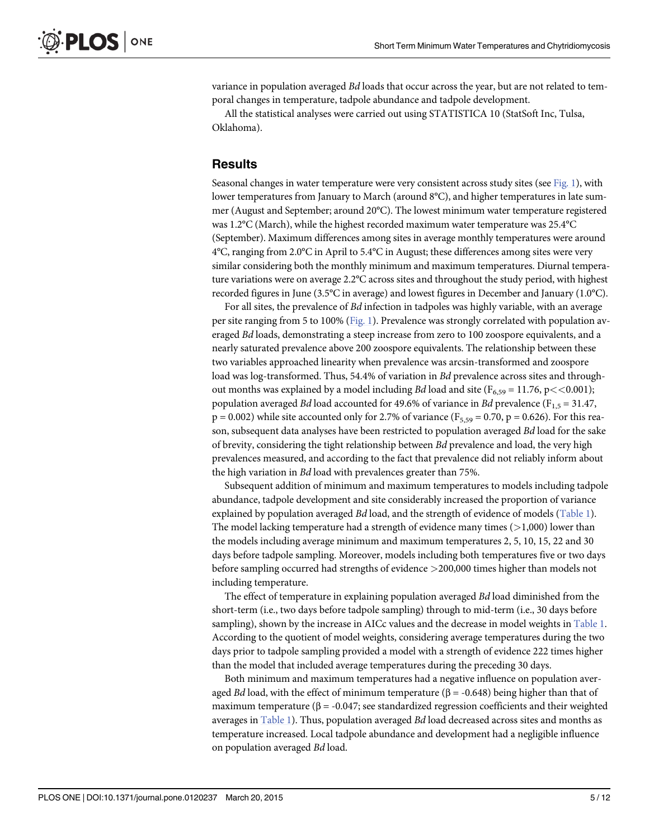<span id="page-4-0"></span>variance in population averaged Bd loads that occur across the year, but are not related to temporal changes in temperature, tadpole abundance and tadpole development.

All the statistical analyses were carried out using STATISTICA 10 (StatSoft Inc, Tulsa, Oklahoma).

#### **Results**

Seasonal changes in water temperature were very consistent across study sites (see  $Fig. 1$ ), with lower temperatures from January to March (around 8°C), and higher temperatures in late summer (August and September; around 20°C). The lowest minimum water temperature registered was 1.2°C (March), while the highest recorded maximum water temperature was 25.4°C (September). Maximum differences among sites in average monthly temperatures were around 4°C, ranging from 2.0°C in April to 5.4°C in August; these differences among sites were very similar considering both the monthly minimum and maximum temperatures. Diurnal temperature variations were on average 2.2°C across sites and throughout the study period, with highest recorded figures in June (3.5°C in average) and lowest figures in December and January (1.0°C).

For all sites, the prevalence of Bd infection in tadpoles was highly variable, with an average per site ranging from 5 to 100% ([Fig. 1\)](#page-5-0). Prevalence was strongly correlated with population averaged Bd loads, demonstrating a steep increase from zero to 100 zoospore equivalents, and a nearly saturated prevalence above 200 zoospore equivalents. The relationship between these two variables approached linearity when prevalence was arcsin-transformed and zoospore load was log-transformed. Thus, 54.4% of variation in Bd prevalence across sites and throughout months was explained by a model including Bd load and site ( $F_{6,59} = 11.76$ ,  $p \lt 0.001$ ); population averaged Bd load accounted for 49.6% of variance in Bd prevalence ( $F_{1,5} = 31.47$ ,  $p = 0.002$ ) while site accounted only for 2.7% of variance (F<sub>5,59</sub> = 0.70, p = 0.626). For this reason, subsequent data analyses have been restricted to population averaged Bd load for the sake of brevity, considering the tight relationship between Bd prevalence and load, the very high prevalences measured, and according to the fact that prevalence did not reliably inform about the high variation in Bd load with prevalences greater than 75%.

Subsequent addition of minimum and maximum temperatures to models including tadpole abundance, tadpole development and site considerably increased the proportion of variance explained by population averaged Bd load, and the strength of evidence of models [\(Table 1](#page-3-0)). The model lacking temperature had a strength of evidence many times  $(>1,000)$  lower than the models including average minimum and maximum temperatures 2, 5, 10, 15, 22 and 30 days before tadpole sampling. Moreover, models including both temperatures five or two days before sampling occurred had strengths of evidence >200,000 times higher than models not including temperature.

The effect of temperature in explaining population averaged Bd load diminished from the short-term (i.e., two days before tadpole sampling) through to mid-term (i.e., 30 days before sampling), shown by the increase in AICc values and the decrease in model weights in [Table 1.](#page-3-0) According to the quotient of model weights, considering average temperatures during the two days prior to tadpole sampling provided a model with a strength of evidence 222 times higher than the model that included average temperatures during the preceding 30 days.

Both minimum and maximum temperatures had a negative influence on population averaged Bd load, with the effect of minimum temperature ( $\beta$  = -0.648) being higher than that of maximum temperature ( $\beta = -0.047$ ; see standardized regression coefficients and their weighted averages in [Table 1](#page-3-0)). Thus, population averaged Bd load decreased across sites and months as temperature increased. Local tadpole abundance and development had a negligible influence on population averaged Bd load.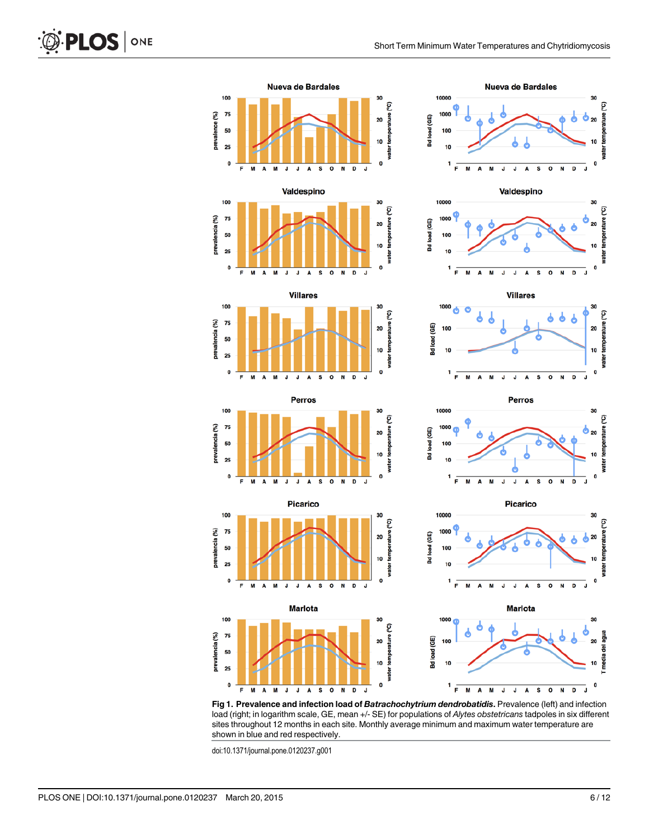<span id="page-5-0"></span>

[Fig 1. P](#page-4-0)revalence and infection load of Batrachochytrium dendrobatidis. Prevalence (left) and infection load (right; in logarithm scale, GE, mean +/- SE) for populations of Alytes obstetricans tadpoles in six different sites throughout 12 months in each site. Monthly average minimum and maximum water temperature are shown in blue and red respectively.

doi:10.1371/journal.pone.0120237.g001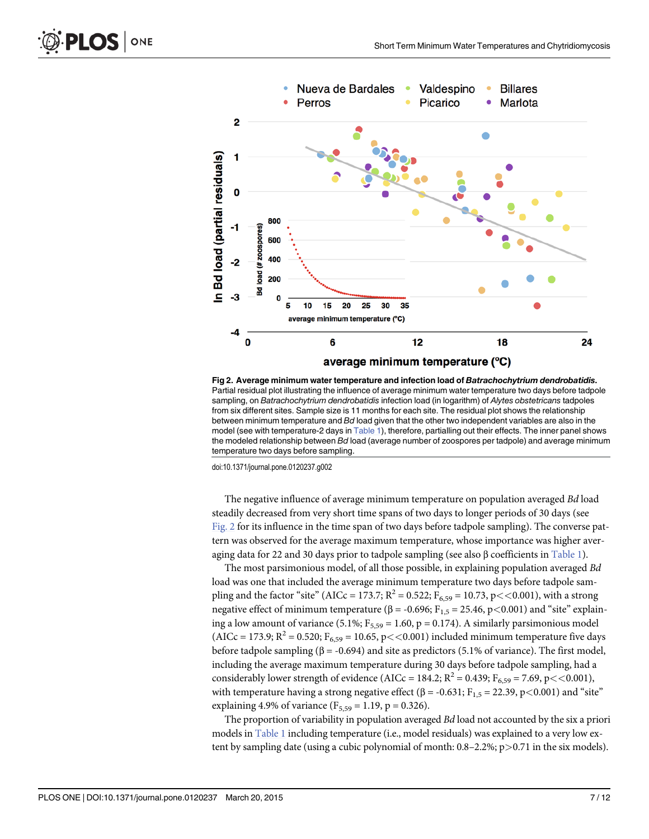<span id="page-6-0"></span>

Fig 2. Average minimum water temperature and infection load of Batrachochytrium dendrobatidis. Partial residual plot illustrating the influence of average minimum water temperature two days before tadpole sampling, on Batrachochytrium dendrobatidis infection load (in logarithm) of Alytes obstetricans tadpoles from six different sites. Sample size is 11 months for each site. The residual plot shows the relationship between minimum temperature and Bd load given that the other two independent variables are also in the model (see with temperature-2 days in [Table 1\)](#page-3-0), therefore, partialling out their effects. The inner panel shows the modeled relationship between Bd load (average number of zoospores per tadpole) and average minimum temperature two days before sampling.

doi:10.1371/journal.pone.0120237.g002

The negative influence of average minimum temperature on population averaged Bd load steadily decreased from very short time spans of two days to longer periods of 30 days (see Fig. 2 for its influence in the time span of two days before tadpole sampling). The converse pattern was observed for the average maximum temperature, whose importance was higher averaging data for 22 and 30 days prior to tadpole sampling (see also  $\beta$  coefficients in [Table 1](#page-3-0)).

The most parsimonious model, of all those possible, in explaining population averaged Bd load was one that included the average minimum temperature two days before tadpole sampling and the factor "site" (AICc = 173.7;  $R^2 = 0.522$ ;  $F_{6,59} = 10.73$ , p<<0.001), with a strong negative effect of minimum temperature (β = -0.696; F<sub>1,5</sub> = 25.46, p<0.001) and "site" explaining a low amount of variance (5.1%;  $F_{5,59} = 1.60$ , p = 0.174). A similarly parsimonious model (AICc = 173.9;  $R^2$  = 0.520;  $F_{6,59}$  = 10.65, p < < 0.001) included minimum temperature five days before tadpole sampling ( $\beta$  = -0.694) and site as predictors (5.1% of variance). The first model, including the average maximum temperature during 30 days before tadpole sampling, had a considerably lower strength of evidence (AICc = 184.2;  $R^2 = 0.439$ ;  $F_{6.59} = 7.69$ , p<<0.001), with temperature having a strong negative effect (β = -0.631;  $F_{1,5}$  = 22.39, p < 0.001) and "site" explaining 4.9% of variance ( $F_{5,59} = 1.19$ , p = 0.326).

The proportion of variability in population averaged Bd load not accounted by the six a priori models in [Table 1](#page-3-0) including temperature (i.e., model residuals) was explained to a very low extent by sampling date (using a cubic polynomial of month: 0.8–2.2%; p>0.71 in the six models).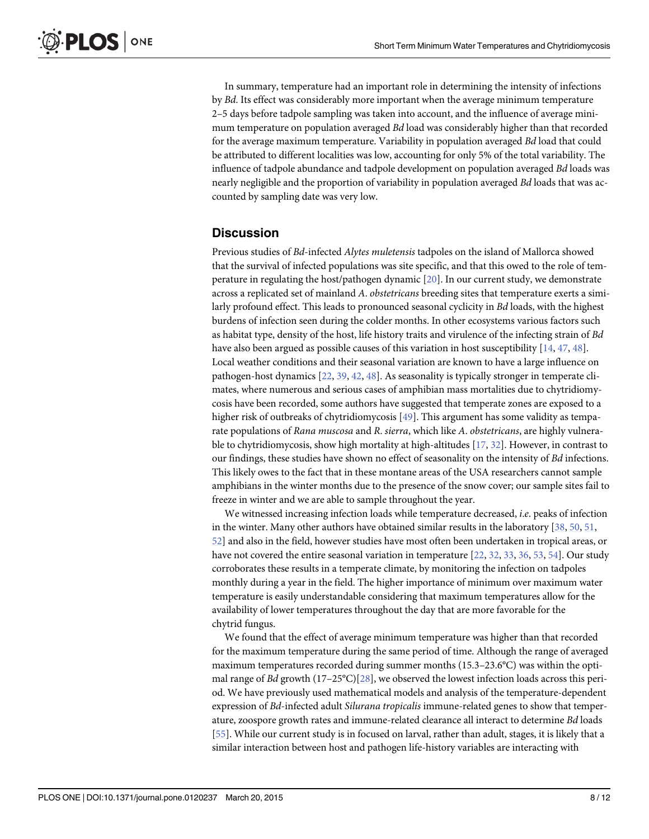<span id="page-7-0"></span>**PLOS I** ONE

> In summary, temperature had an important role in determining the intensity of infections by Bd. Its effect was considerably more important when the average minimum temperature 2–5 days before tadpole sampling was taken into account, and the influence of average minimum temperature on population averaged Bd load was considerably higher than that recorded for the average maximum temperature. Variability in population averaged Bd load that could be attributed to different localities was low, accounting for only 5% of the total variability. The influence of tadpole abundance and tadpole development on population averaged Bd loads was nearly negligible and the proportion of variability in population averaged Bd loads that was accounted by sampling date was very low.

#### **Discussion**

Previous studies of Bd-infected Alytes muletensis tadpoles on the island of Mallorca showed that the survival of infected populations was site specific, and that this owed to the role of temperature in regulating the host/pathogen dynamic [[20](#page-10-0)]. In our current study, we demonstrate across a replicated set of mainland A. obstetricans breeding sites that temperature exerts a similarly profound effect. This leads to pronounced seasonal cyclicity in Bd loads, with the highest burdens of infection seen during the colder months. In other ecosystems various factors such as habitat type, density of the host, life history traits and virulence of the infecting strain of Bd have also been argued as possible causes of this variation in host susceptibility [\[14,](#page-9-0) [47,](#page-11-0) [48\]](#page-11-0). Local weather conditions and their seasonal variation are known to have a large influence on pathogen-host dynamics [[22](#page-10-0), [39](#page-10-0), [42](#page-11-0), [48](#page-11-0)]. As seasonality is typically stronger in temperate climates, where numerous and serious cases of amphibian mass mortalities due to chytridiomycosis have been recorded, some authors have suggested that temperate zones are exposed to a higher risk of outbreaks of chytridiomycosis [[49\]](#page-11-0). This argument has some validity as temparate populations of Rana muscosa and R. sierra, which like A. obstetricans, are highly vulnerable to chytridiomycosis, show high mortality at high-altitudes [[17,](#page-9-0) [32\]](#page-10-0). However, in contrast to our findings, these studies have shown no effect of seasonality on the intensity of Bd infections. This likely owes to the fact that in these montane areas of the USA researchers cannot sample amphibians in the winter months due to the presence of the snow cover; our sample sites fail to freeze in winter and we are able to sample throughout the year.

We witnessed increasing infection loads while temperature decreased, *i.e.* peaks of infection in the winter. Many other authors have obtained similar results in the laboratory [\[38](#page-10-0), [50](#page-11-0), [51](#page-11-0), [52\]](#page-11-0) and also in the field, however studies have most often been undertaken in tropical areas, or have not covered the entire seasonal variation in temperature [\[22,](#page-10-0) [32,](#page-10-0) [33,](#page-10-0) [36,](#page-10-0) [53,](#page-11-0) [54\]](#page-11-0). Our study corroborates these results in a temperate climate, by monitoring the infection on tadpoles monthly during a year in the field. The higher importance of minimum over maximum water temperature is easily understandable considering that maximum temperatures allow for the availability of lower temperatures throughout the day that are more favorable for the chytrid fungus.

We found that the effect of average minimum temperature was higher than that recorded for the maximum temperature during the same period of time. Although the range of averaged maximum temperatures recorded during summer months (15.3–23.6°C) was within the optimal range of Bd growth  $(17-25^{\circ}\text{C})[28]$  $(17-25^{\circ}\text{C})[28]$  $(17-25^{\circ}\text{C})[28]$ , we observed the lowest infection loads across this period. We have previously used mathematical models and analysis of the temperature-dependent expression of Bd-infected adult Silurana tropicalis immune-related genes to show that temperature, zoospore growth rates and immune-related clearance all interact to determine Bd loads [\[55](#page-11-0)]. While our current study is in focused on larval, rather than adult, stages, it is likely that a similar interaction between host and pathogen life-history variables are interacting with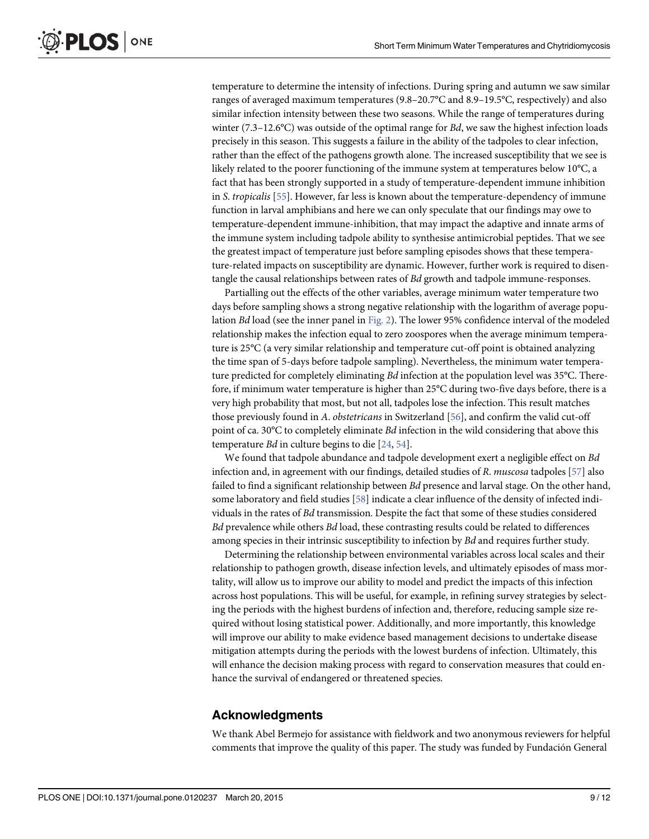<span id="page-8-0"></span>**PLOS I** ONE

> temperature to determine the intensity of infections. During spring and autumn we saw similar ranges of averaged maximum temperatures (9.8–20.7°C and 8.9–19.5°C, respectively) and also similar infection intensity between these two seasons. While the range of temperatures during winter (7.3–12.6°C) was outside of the optimal range for Bd, we saw the highest infection loads precisely in this season. This suggests a failure in the ability of the tadpoles to clear infection, rather than the effect of the pathogens growth alone. The increased susceptibility that we see is likely related to the poorer functioning of the immune system at temperatures below 10°C, a fact that has been strongly supported in a study of temperature-dependent immune inhibition in S. tropicalis [[55](#page-11-0)]. However, far less is known about the temperature-dependency of immune function in larval amphibians and here we can only speculate that our findings may owe to temperature-dependent immune-inhibition, that may impact the adaptive and innate arms of the immune system including tadpole ability to synthesise antimicrobial peptides. That we see the greatest impact of temperature just before sampling episodes shows that these temperature-related impacts on susceptibility are dynamic. However, further work is required to disentangle the causal relationships between rates of Bd growth and tadpole immune-responses.

> Partialling out the effects of the other variables, average minimum water temperature two days before sampling shows a strong negative relationship with the logarithm of average population Bd load (see the inner panel in [Fig. 2\)](#page-6-0). The lower 95% confidence interval of the modeled relationship makes the infection equal to zero zoospores when the average minimum temperature is 25°C (a very similar relationship and temperature cut-off point is obtained analyzing the time span of 5-days before tadpole sampling). Nevertheless, the minimum water temperature predicted for completely eliminating Bd infection at the population level was 35°C. Therefore, if minimum water temperature is higher than 25°C during two-five days before, there is a very high probability that most, but not all, tadpoles lose the infection. This result matches those previously found in A. obstetricans in Switzerland [\[56\]](#page-11-0), and confirm the valid cut-off point of ca. 30°C to completely eliminate Bd infection in the wild considering that above this temperature Bd in culture begins to die [[24](#page-10-0), [54](#page-11-0)].

> We found that tadpole abundance and tadpole development exert a negligible effect on Bd infection and, in agreement with our findings, detailed studies of R. muscosa tadpoles [\[57](#page-11-0)] also failed to find a significant relationship between Bd presence and larval stage. On the other hand, some laboratory and field studies [[58](#page-11-0)] indicate a clear influence of the density of infected individuals in the rates of Bd transmission. Despite the fact that some of these studies considered Bd prevalence while others Bd load, these contrasting results could be related to differences among species in their intrinsic susceptibility to infection by Bd and requires further study.

> Determining the relationship between environmental variables across local scales and their relationship to pathogen growth, disease infection levels, and ultimately episodes of mass mortality, will allow us to improve our ability to model and predict the impacts of this infection across host populations. This will be useful, for example, in refining survey strategies by selecting the periods with the highest burdens of infection and, therefore, reducing sample size required without losing statistical power. Additionally, and more importantly, this knowledge will improve our ability to make evidence based management decisions to undertake disease mitigation attempts during the periods with the lowest burdens of infection. Ultimately, this will enhance the decision making process with regard to conservation measures that could enhance the survival of endangered or threatened species.

#### Acknowledgments

We thank Abel Bermejo for assistance with fieldwork and two anonymous reviewers for helpful comments that improve the quality of this paper. The study was funded by Fundación General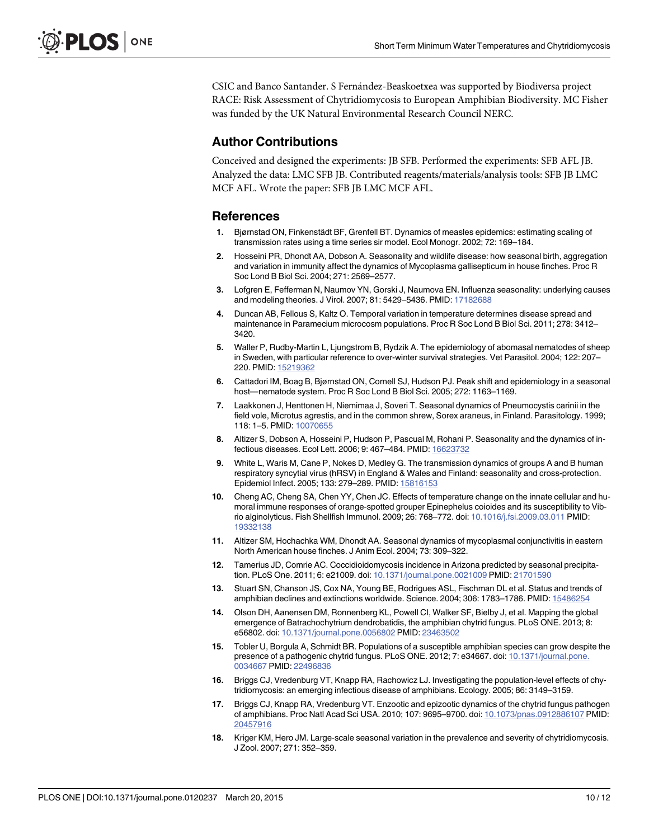<span id="page-9-0"></span>CSIC and Banco Santander. S Fernández-Beaskoetxea was supported by Biodiversa project RACE: Risk Assessment of Chytridiomycosis to European Amphibian Biodiversity. MC Fisher was funded by the UK Natural Environmental Research Council NERC.

#### Author Contributions

Conceived and designed the experiments: JB SFB. Performed the experiments: SFB AFL JB. Analyzed the data: LMC SFB JB. Contributed reagents/materials/analysis tools: SFB JB LMC MCF AFL. Wrote the paper: SFB JB LMC MCF AFL.

#### References

- [1.](#page-0-0) Bjørnstad ON, Finkenstädt BF, Grenfell BT. Dynamics of measles epidemics: estimating scaling of transmission rates using a time series sir model. Ecol Monogr. 2002; 72: 169–184.
- 2. Hosseini PR, Dhondt AA, Dobson A. Seasonality and wildlife disease: how seasonal birth, aggregation and variation in immunity affect the dynamics of Mycoplasma gallisepticum in house finches. Proc R Soc Lond B Biol Sci. 2004; 271: 2569–2577.
- 3. Lofgren E, Fefferman N, Naumov YN, Gorski J, Naumova EN. Influenza seasonality: underlying causes and modeling theories. J Virol. 2007; 81: 5429–5436. PMID: [17182688](http://www.ncbi.nlm.nih.gov/pubmed/17182688)
- [4.](#page-0-0) Duncan AB, Fellous S, Kaltz O. Temporal variation in temperature determines disease spread and maintenance in Paramecium microcosm populations. Proc R Soc Lond B Biol Sci. 2011; 278: 3412– 3420.
- [5.](#page-0-0) Waller P, Rudby-Martin L, Ljungstrom B, Rydzik A. The epidemiology of abomasal nematodes of sheep in Sweden, with particular reference to over-winter survival strategies. Vet Parasitol. 2004; 122: 207– 220. PMID: [15219362](http://www.ncbi.nlm.nih.gov/pubmed/15219362)
- [6.](#page-0-0) Cattadori IM, Boag B, Bjørnstad ON, Cornell SJ, Hudson PJ. Peak shift and epidemiology in a seasonal host—nematode system. Proc R Soc Lond B Biol Sci. 2005; 272: 1163–1169.
- [7.](#page-0-0) Laakkonen J, Henttonen H, Niemimaa J, Soveri T. Seasonal dynamics of Pneumocystis carinii in the field vole, Microtus agrestis, and in the common shrew, Sorex araneus, in Finland. Parasitology. 1999; 118: 1–5. PMID: [10070655](http://www.ncbi.nlm.nih.gov/pubmed/10070655)
- 8. Altizer S, Dobson A, Hosseini P, Hudson P, Pascual M, Rohani P. Seasonality and the dynamics of infectious diseases. Ecol Lett. 2006; 9: 467–484. PMID: [16623732](http://www.ncbi.nlm.nih.gov/pubmed/16623732)
- 9. White L, Waris M, Cane P, Nokes D, Medley G. The transmission dynamics of groups A and B human respiratory syncytial virus (hRSV) in England & Wales and Finland: seasonality and cross-protection. Epidemiol Infect. 2005; 133: 279–289. PMID: [15816153](http://www.ncbi.nlm.nih.gov/pubmed/15816153)
- [10.](#page-0-0) Cheng AC, Cheng SA, Chen YY, Chen JC. Effects of temperature change on the innate cellular and humoral immune responses of orange-spotted grouper Epinephelus coioides and its susceptibility to Vibrio alginolyticus. Fish Shellfish Immunol. 2009; 26: 768–772. doi: [10.1016/j.fsi.2009.03.011](http://dx.doi.org/10.1016/j.fsi.2009.03.011) PMID: [19332138](http://www.ncbi.nlm.nih.gov/pubmed/19332138)
- [11.](#page-1-0) Altizer SM, Hochachka WM, Dhondt AA. Seasonal dynamics of mycoplasmal conjunctivitis in eastern North American house finches. J Anim Ecol. 2004; 73: 309–322.
- [12.](#page-1-0) Tamerius JD, Comrie AC. Coccidioidomycosis incidence in Arizona predicted by seasonal precipitation. PLoS One. 2011; 6: e21009. doi: [10.1371/journal.pone.0021009](http://dx.doi.org/10.1371/journal.pone.0021009) PMID: [21701590](http://www.ncbi.nlm.nih.gov/pubmed/21701590)
- [13.](#page-1-0) Stuart SN, Chanson JS, Cox NA, Young BE, Rodrigues ASL, Fischman DL et al. Status and trends of amphibian declines and extinctions worldwide. Science. 2004; 306: 1783–1786. PMID: [15486254](http://www.ncbi.nlm.nih.gov/pubmed/15486254)
- [14.](#page-1-0) Olson DH, Aanensen DM, Ronnenberg KL, Powell CI, Walker SF, Bielby J, et al. Mapping the global emergence of Batrachochytrium dendrobatidis, the amphibian chytrid fungus. PLoS ONE. 2013; 8: e56802. doi: [10.1371/journal.pone.0056802](http://dx.doi.org/10.1371/journal.pone.0056802) PMID: [23463502](http://www.ncbi.nlm.nih.gov/pubmed/23463502)
- [15.](#page-1-0) Tobler U, Borgula A, Schmidt BR. Populations of a susceptible amphibian species can grow despite the presence of a pathogenic chytrid fungus. PLoS ONE. 2012; 7: e34667. doi: [10.1371/journal.pone.](http://dx.doi.org/10.1371/journal.pone.0034667) [0034667](http://dx.doi.org/10.1371/journal.pone.0034667) PMID: [22496836](http://www.ncbi.nlm.nih.gov/pubmed/22496836)
- [16.](#page-1-0) Briggs CJ, Vredenburg VT, Knapp RA, Rachowicz LJ. Investigating the population-level effects of chytridiomycosis: an emerging infectious disease of amphibians. Ecology. 2005; 86: 3149–3159.
- [17.](#page-7-0) Briggs CJ, Knapp RA, Vredenburg VT. Enzootic and epizootic dynamics of the chytrid fungus pathogen of amphibians. Proc Natl Acad Sci USA. 2010; 107: 9695–9700. doi: [10.1073/pnas.0912886107](http://dx.doi.org/10.1073/pnas.0912886107) PMID: [20457916](http://www.ncbi.nlm.nih.gov/pubmed/20457916)
- [18.](#page-1-0) Kriger KM, Hero JM. Large-scale seasonal variation in the prevalence and severity of chytridiomycosis. J Zool. 2007; 271: 352–359.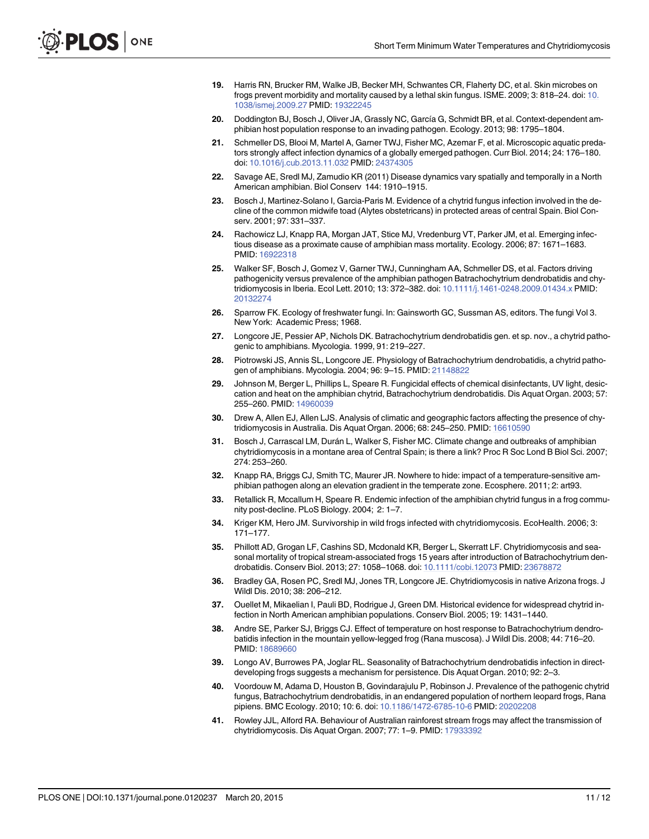- <span id="page-10-0"></span>19. Harris RN, Brucker RM, Walke JB, Becker MH, Schwantes CR, Flaherty DC, et al. Skin microbes on frogs prevent morbidity and mortality caused by a lethal skin fungus. ISME. 2009; 3: 818–24. doi: [10.](http://dx.doi.org/10.1038/ismej.2009.27) [1038/ismej.2009.27](http://dx.doi.org/10.1038/ismej.2009.27) PMID: [19322245](http://www.ncbi.nlm.nih.gov/pubmed/19322245)
- [20.](#page-7-0) Doddington BJ, Bosch J, Oliver JA, Grassly NC, García G, Schmidt BR, et al. Context-dependent amphibian host population response to an invading pathogen. Ecology. 2013; 98: 1795–1804.
- [21.](#page-1-0) Schmeller DS, Blooi M, Martel A, Garner TWJ, Fisher MC, Azemar F, et al. Microscopic aquatic predators strongly affect infection dynamics of a globally emerged pathogen. Curr Biol. 2014; 24: 176–180. doi: [10.1016/j.cub.2013.11.032](http://dx.doi.org/10.1016/j.cub.2013.11.032) PMID: [24374305](http://www.ncbi.nlm.nih.gov/pubmed/24374305)
- [22.](#page-1-0) Savage AE, Sredl MJ, Zamudio KR (2011) Disease dynamics vary spatially and temporally in a North American amphibian. Biol Conserv 144: 1910–1915.
- [23.](#page-1-0) Bosch J, Martinez-Solano I, Garcia-Paris M. Evidence of a chytrid fungus infection involved in the decline of the common midwife toad (Alytes obstetricans) in protected areas of central Spain. Biol Conserv. 2001; 97: 331–337.
- [24.](#page-8-0) Rachowicz LJ, Knapp RA, Morgan JAT, Stice MJ, Vredenburg VT, Parker JM, et al. Emerging infectious disease as a proximate cause of amphibian mass mortality. Ecology. 2006; 87: 1671–1683. PMID: [16922318](http://www.ncbi.nlm.nih.gov/pubmed/16922318)
- [25.](#page-1-0) Walker SF, Bosch J, Gomez V, Garner TWJ, Cunningham AA, Schmeller DS, et al. Factors driving pathogenicity versus prevalence of the amphibian pathogen Batrachochytrium dendrobatidis and chytridiomycosis in Iberia. Ecol Lett. 2010; 13: 372–382. doi: [10.1111/j.1461-0248.2009.01434.x](http://dx.doi.org/10.1111/j.1461-0248.2009.01434.x) PMID: [20132274](http://www.ncbi.nlm.nih.gov/pubmed/20132274)
- [26.](#page-1-0) Sparrow FK. Ecology of freshwater fungi. In: Gainsworth GC, Sussman AS, editors. The fungi Vol 3. New York: Academic Press; 1968.
- [27.](#page-1-0) Longcore JE, Pessier AP, Nichols DK. Batrachochytrium dendrobatidis gen. et sp. nov., a chytrid pathogenic to amphibians. Mycologia. 1999, 91: 219–227.
- [28.](#page-1-0) Piotrowski JS, Annis SL, Longcore JE. Physiology of Batrachochytrium dendrobatidis, a chytrid pathogen of amphibians. Mycologia. 2004; 96: 9–15. PMID: [21148822](http://www.ncbi.nlm.nih.gov/pubmed/21148822)
- [29.](#page-1-0) Johnson M, Berger L, Phillips L, Speare R. Fungicidal effects of chemical disinfectants, UV light, desiccation and heat on the amphibian chytrid, Batrachochytrium dendrobatidis. Dis Aquat Organ. 2003; 57: 255–260. PMID: [14960039](http://www.ncbi.nlm.nih.gov/pubmed/14960039)
- [30.](#page-1-0) Drew A, Allen EJ, Allen LJS. Analysis of climatic and geographic factors affecting the presence of chytridiomycosis in Australia. Dis Aquat Organ. 2006; 68: 245–250. PMID: [16610590](http://www.ncbi.nlm.nih.gov/pubmed/16610590)
- 31. Bosch J, Carrascal LM, Durán L, Walker S, Fisher MC. Climate change and outbreaks of amphibian chytridiomycosis in a montane area of Central Spain; is there a link? Proc R Soc Lond B Biol Sci. 2007; 274: 253–260.
- [32.](#page-1-0) Knapp RA, Briggs CJ, Smith TC, Maurer JR. Nowhere to hide: impact of a temperature-sensitive amphibian pathogen along an elevation gradient in the temperate zone. Ecosphere. 2011; 2: art93.
- [33.](#page-1-0) Retallick R, Mccallum H, Speare R. Endemic infection of the amphibian chytrid fungus in a frog community post-decline. PLoS Biology. 2004; 2: 1–7.
- 34. Kriger KM, Hero JM. Survivorship in wild frogs infected with chytridiomycosis. EcoHealth. 2006; 3: 171–177.
- [35.](#page-1-0) Phillott AD, Grogan LF, Cashins SD, Mcdonald KR, Berger L, Skerratt LF. Chytridiomycosis and seasonal mortality of tropical stream-associated frogs 15 years after introduction of Batrachochytrium dendrobatidis. Conserv Biol. 2013; 27: 1058–1068. doi: [10.1111/cobi.12073](http://dx.doi.org/10.1111/cobi.12073) PMID: [23678872](http://www.ncbi.nlm.nih.gov/pubmed/23678872)
- [36.](#page-1-0) Bradley GA, Rosen PC, Sredl MJ, Jones TR, Longcore JE. Chytridiomycosis in native Arizona frogs. J Wildl Dis. 2010; 38: 206–212.
- 37. Ouellet M, Mikaelian I, Pauli BD, Rodrigue J, Green DM. Historical evidence for widespread chytrid infection in North American amphibian populations. Conserv Biol. 2005; 19: 1431–1440.
- [38.](#page-7-0) Andre SE, Parker SJ, Briggs CJ. Effect of temperature on host response to Batrachochytrium dendrobatidis infection in the mountain yellow-legged frog (Rana muscosa). J Wildl Dis. 2008; 44: 716–20. PMID: [18689660](http://www.ncbi.nlm.nih.gov/pubmed/18689660)
- [39.](#page-7-0) Longo AV, Burrowes PA, Joglar RL. Seasonality of Batrachochytrium dendrobatidis infection in directdeveloping frogs suggests a mechanism for persistence. Dis Aquat Organ. 2010; 92: 2–3.
- [40.](#page-1-0) Voordouw M, Adama D, Houston B, Govindarajulu P, Robinson J. Prevalence of the pathogenic chytrid fungus, Batrachochytrium dendrobatidis, in an endangered population of northern leopard frogs, Rana pipiens. BMC Ecology. 2010; 10: 6. doi: [10.1186/1472-6785-10-6](http://dx.doi.org/10.1186/1472-6785-10-6) PMID: [20202208](http://www.ncbi.nlm.nih.gov/pubmed/20202208)
- [41.](#page-1-0) Rowley JJL, Alford RA. Behaviour of Australian rainforest stream frogs may affect the transmission of chytridiomycosis. Dis Aquat Organ. 2007; 77: 1–9. PMID: [17933392](http://www.ncbi.nlm.nih.gov/pubmed/17933392)